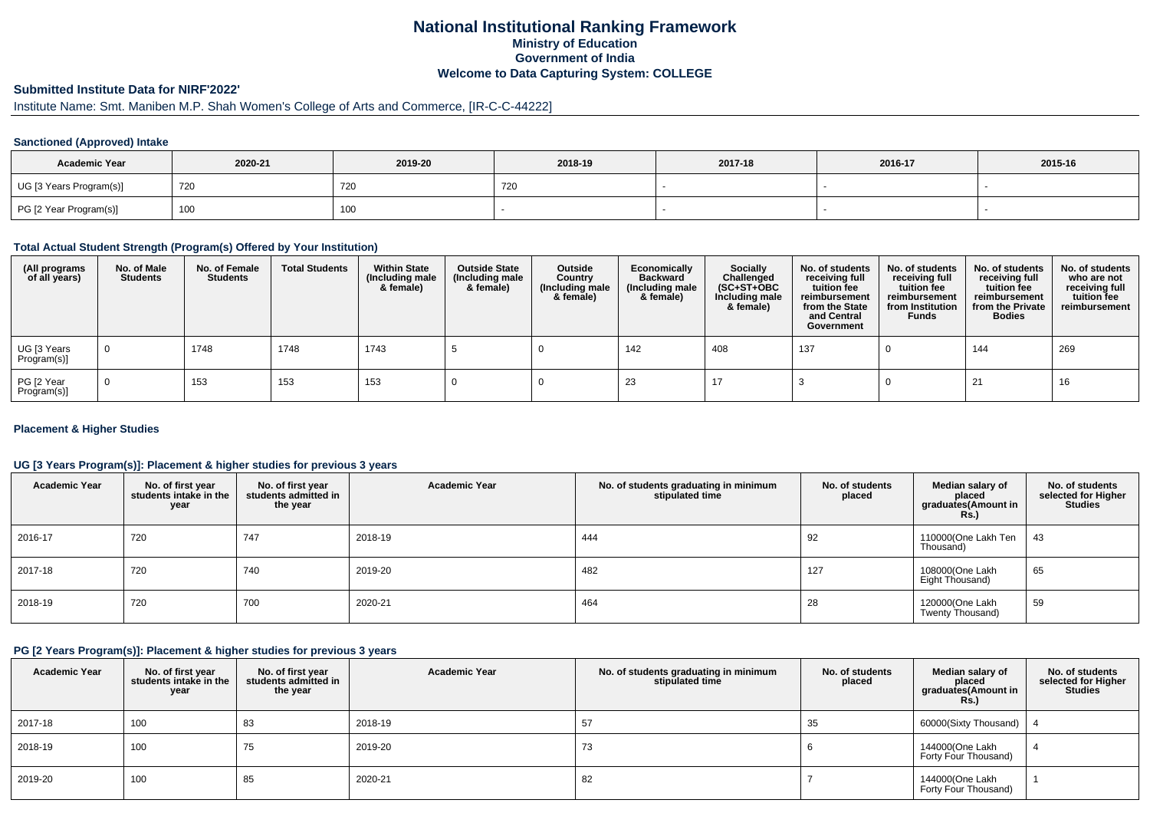## **National Institutional Ranking FrameworkMinistry of Education Government of IndiaWelcome to Data Capturing System: COLLEGE**

# **Submitted Institute Data for NIRF'2022'**

# Institute Name: Smt. Maniben M.P. Shah Women's College of Arts and Commerce, [IR-C-C-44222]

#### **Sanctioned (Approved) Intake**

| <b>Academic Year</b>    | 2020-21 | 2019-20    | 2018-19 | 2017-18 | 2016-17 | 2015-16 |
|-------------------------|---------|------------|---------|---------|---------|---------|
| UG [3 Years Program(s)] | 720     | <b>720</b> | L20     |         |         |         |
| PG [2 Year Program(s)]  | 100     | 100        |         |         |         |         |

#### **Total Actual Student Strength (Program(s) Offered by Your Institution)**

| (All programs<br>of all years) | No. of Male<br><b>Students</b> | No. of Female<br><b>Students</b> | <b>Total Students</b> | <b>Within State</b><br>(Including male<br>& female) | <b>Outside State</b><br>(Including male<br>& female) | Outside<br>Country<br>(Including male<br>& female) | Economically<br><b>Backward</b><br>(Including male<br>& female) | <b>Socially</b><br>Challenged<br>$(SC+ST+OBC)$<br>Including male<br>& female) | No. of students<br>receiving full<br>tuition fee<br>reimbursement<br>from the State<br>and Central<br>Government | No. of students<br>receiving full<br>tuition fee<br>reimbursement<br>from Institution<br><b>Funds</b> | No. of students<br>receiving full<br>tuition fee<br>reimbursement<br>from the Private<br><b>Bodies</b> | No. of students<br>who are not<br>receiving full<br>tuition fee<br>reimbursement |
|--------------------------------|--------------------------------|----------------------------------|-----------------------|-----------------------------------------------------|------------------------------------------------------|----------------------------------------------------|-----------------------------------------------------------------|-------------------------------------------------------------------------------|------------------------------------------------------------------------------------------------------------------|-------------------------------------------------------------------------------------------------------|--------------------------------------------------------------------------------------------------------|----------------------------------------------------------------------------------|
| UG [3 Years<br>Program(s)]     |                                | 1748                             | 1748                  | 1743                                                |                                                      |                                                    | 142                                                             | 408                                                                           | 137                                                                                                              |                                                                                                       | 144                                                                                                    | 269                                                                              |
| PG [2 Year<br>Program(s)]      |                                | 153                              | 153                   | 153                                                 |                                                      |                                                    | 23                                                              | 17                                                                            |                                                                                                                  |                                                                                                       | 21                                                                                                     | 16                                                                               |

#### **Placement & Higher Studies**

#### **UG [3 Years Program(s)]: Placement & higher studies for previous 3 years**

| <b>Academic Year</b> | No. of first year<br>students intake in the<br>year | No. of first year<br>students admitted in<br>the year | <b>Academic Year</b> | No. of students graduating in minimum<br>stipulated time | No. of students<br>placed | Median salary of<br>placed<br>graduates (Amount in<br><b>Rs.</b> ) | No. of students<br>selected for Higher<br><b>Studies</b> |
|----------------------|-----------------------------------------------------|-------------------------------------------------------|----------------------|----------------------------------------------------------|---------------------------|--------------------------------------------------------------------|----------------------------------------------------------|
| 2016-17              | 720                                                 | 747                                                   | 2018-19              | 444                                                      | 92                        | 110000(One Lakh Ten  <br>Thousand)                                 | -43                                                      |
| 2017-18              | 720                                                 | 740                                                   | 2019-20              | 482                                                      | 127                       | 108000(One Lakh<br>Eight Thousand)                                 | 65                                                       |
| 2018-19              | 720                                                 | 700                                                   | 2020-21              | 464                                                      | 28                        | 120000(One Lakh<br>Twenty Thousand)                                | 59                                                       |

#### **PG [2 Years Program(s)]: Placement & higher studies for previous 3 years**

| <b>Academic Year</b> | No. of first year<br>students intake in the<br>year | No. of first year<br>students admitted in<br>the year | <b>Academic Year</b> | No. of students graduating in minimum<br>stipulated time | No. of students<br>placed | Median salary of<br>placed<br>graduates(Amount in<br>Rs.) | No. of students<br>selected for Higher<br><b>Studies</b> |
|----------------------|-----------------------------------------------------|-------------------------------------------------------|----------------------|----------------------------------------------------------|---------------------------|-----------------------------------------------------------|----------------------------------------------------------|
| 2017-18              | 100                                                 | 83                                                    | 2018-19              | 57                                                       | 35                        | 60000(Sixty Thousand)                                     |                                                          |
| 2018-19              | 100                                                 | 75                                                    | 2019-20              | 73                                                       |                           | 144000(One Lakh<br>Forty Four Thousand)                   |                                                          |
| 2019-20              | 100                                                 | 85                                                    | 2020-21              | 82                                                       |                           | 144000(One Lakh<br>Forty Four Thousand)                   |                                                          |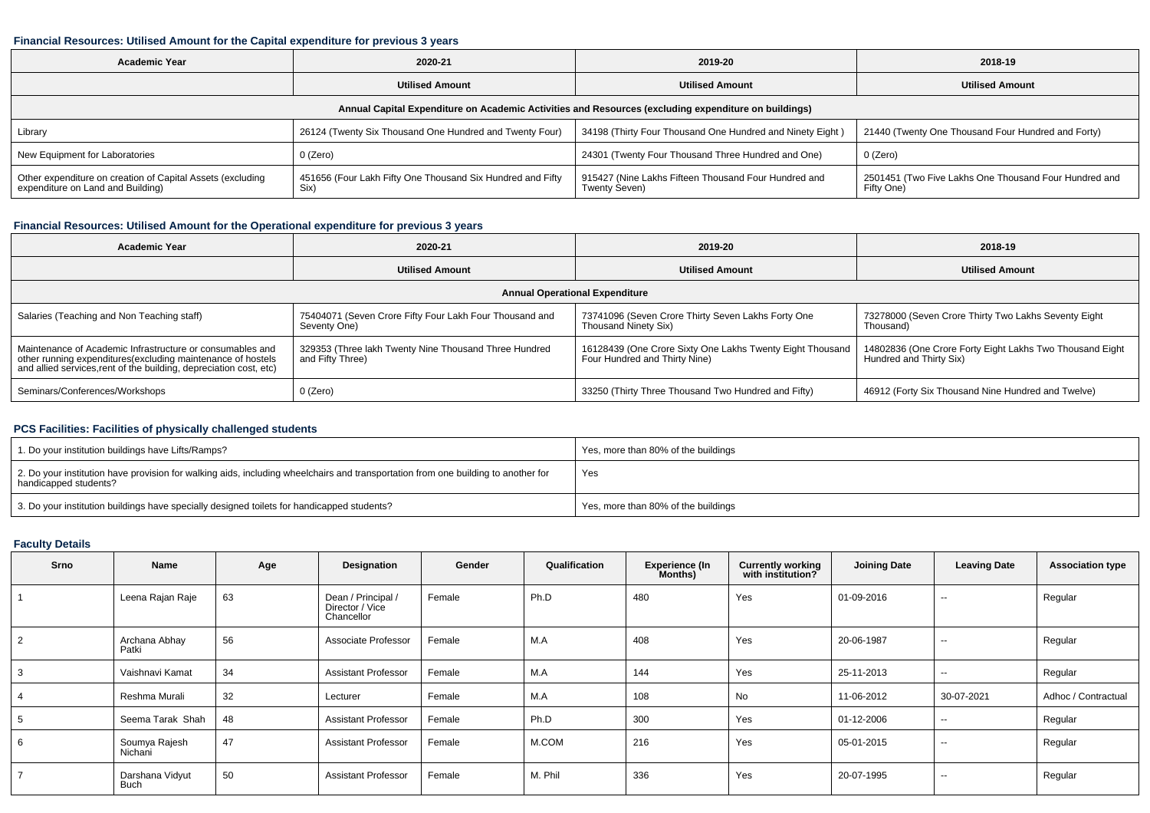### **Financial Resources: Utilised Amount for the Capital expenditure for previous 3 years**

| <b>Academic Year</b>                                                                                 | 2020-21                                                            | 2019-20                                                               | 2018-19                                                             |  |  |  |  |  |  |  |
|------------------------------------------------------------------------------------------------------|--------------------------------------------------------------------|-----------------------------------------------------------------------|---------------------------------------------------------------------|--|--|--|--|--|--|--|
|                                                                                                      | <b>Utilised Amount</b>                                             |                                                                       | <b>Utilised Amount</b>                                              |  |  |  |  |  |  |  |
| Annual Capital Expenditure on Academic Activities and Resources (excluding expenditure on buildings) |                                                                    |                                                                       |                                                                     |  |  |  |  |  |  |  |
| Library                                                                                              | 26124 (Twenty Six Thousand One Hundred and Twenty Four)            | 34198 (Thirty Four Thousand One Hundred and Ninety Eight)             | 21440 (Twenty One Thousand Four Hundred and Forty)                  |  |  |  |  |  |  |  |
| New Equipment for Laboratories                                                                       | 0 (Zero)                                                           | 24301 (Twenty Four Thousand Three Hundred and One)                    | 0 (Zero)                                                            |  |  |  |  |  |  |  |
| Other expenditure on creation of Capital Assets (excluding<br>expenditure on Land and Building)      | 451656 (Four Lakh Fifty One Thousand Six Hundred and Fifty<br>Six) | 915427 (Nine Lakhs Fifteen Thousand Four Hundred and<br>Twenty Seven) | 2501451 (Two Five Lakhs One Thousand Four Hundred and<br>Fifty One) |  |  |  |  |  |  |  |

### **Financial Resources: Utilised Amount for the Operational expenditure for previous 3 years**

| 2020-21<br>Academic Year                                                                                                                                                                       |                                                                           | 2019-20                                                                                    | 2018-19                                                                             |  |  |  |  |  |  |  |
|------------------------------------------------------------------------------------------------------------------------------------------------------------------------------------------------|---------------------------------------------------------------------------|--------------------------------------------------------------------------------------------|-------------------------------------------------------------------------------------|--|--|--|--|--|--|--|
|                                                                                                                                                                                                | <b>Utilised Amount</b>                                                    | <b>Utilised Amount</b>                                                                     | <b>Utilised Amount</b>                                                              |  |  |  |  |  |  |  |
| <b>Annual Operational Expenditure</b>                                                                                                                                                          |                                                                           |                                                                                            |                                                                                     |  |  |  |  |  |  |  |
| Salaries (Teaching and Non Teaching staff)                                                                                                                                                     | 75404071 (Seven Crore Fifty Four Lakh Four Thousand and<br>Seventy One)   | 73741096 (Seven Crore Thirty Seven Lakhs Forty One<br>Thousand Ninety Six)                 | 73278000 (Seven Crore Thirty Two Lakhs Seventy Eight<br>Thousand)                   |  |  |  |  |  |  |  |
| Maintenance of Academic Infrastructure or consumables and<br>other running expenditures(excluding maintenance of hostels<br>and allied services, rent of the building, depreciation cost, etc) | 329353 (Three lakh Twenty Nine Thousand Three Hundred<br>and Fifty Three) | 16128439 (One Crore Sixty One Lakhs Twenty Eight Thousand<br>Four Hundred and Thirty Nine) | 14802836 (One Crore Forty Eight Lakhs Two Thousand Eight<br>Hundred and Thirty Six) |  |  |  |  |  |  |  |
| Seminars/Conferences/Workshops                                                                                                                                                                 | 0 (Zero)                                                                  | 33250 (Thirty Three Thousand Two Hundred and Fifty)                                        | 46912 (Forty Six Thousand Nine Hundred and Twelve)                                  |  |  |  |  |  |  |  |

### **PCS Facilities: Facilities of physically challenged students**

| 1. Do your institution buildings have Lifts/Ramps?                                                                                                         | Yes, more than 80% of the buildings |
|------------------------------------------------------------------------------------------------------------------------------------------------------------|-------------------------------------|
| 2. Do your institution have provision for walking aids, including wheelchairs and transportation from one building to another for<br>handicapped students? | Yes                                 |
| 3. Do your institution buildings have specially designed toilets for handicapped students?                                                                 | Yes, more than 80% of the buildings |

### **Faculty Details**

| Srno           | Name                           | Age | Designation                                         | Gender | Qualification | <b>Experience (In</b><br>Months) | <b>Currently working</b><br>with institution? | <b>Joining Date</b> | <b>Leaving Date</b>      | <b>Association type</b> |
|----------------|--------------------------------|-----|-----------------------------------------------------|--------|---------------|----------------------------------|-----------------------------------------------|---------------------|--------------------------|-------------------------|
|                | Leena Rajan Raje               | 63  | Dean / Principal /<br>Director / Vice<br>Chancellor | Female | Ph.D          | 480                              | Yes                                           | 01-09-2016          | $\overline{\phantom{m}}$ | Regular                 |
| $\overline{2}$ | Archana Abhay<br>Patki         | 56  | Associate Professor                                 | Female | M.A           | 408                              | Yes                                           | 20-06-1987          | $\sim$ $\sim$            | Regular                 |
| 3              | Vaishnavi Kamat                | 34  | <b>Assistant Professor</b>                          | Female | M.A           | 144                              | Yes                                           | 25-11-2013          | $\sim$ $\sim$            | Regular                 |
| -4             | Reshma Murali                  | 32  | Lecturer                                            | Female | M.A           | 108                              | No                                            | 11-06-2012          | 30-07-2021               | Adhoc / Contractual     |
| 5              | Seema Tarak Shah               | 48  | <b>Assistant Professor</b>                          | Female | Ph.D          | 300                              | Yes                                           | 01-12-2006          | $\sim$ $\sim$            | Regular                 |
| 6              | Soumya Rajesh<br>Nichani       | 47  | <b>Assistant Professor</b>                          | Female | M.COM         | 216                              | Yes                                           | 05-01-2015          | $\sim$                   | Regular                 |
| $\overline{7}$ | Darshana Vidyut<br><b>Buch</b> | 50  | <b>Assistant Professor</b>                          | Female | M. Phil       | 336                              | Yes                                           | 20-07-1995          | $\sim$                   | Regular                 |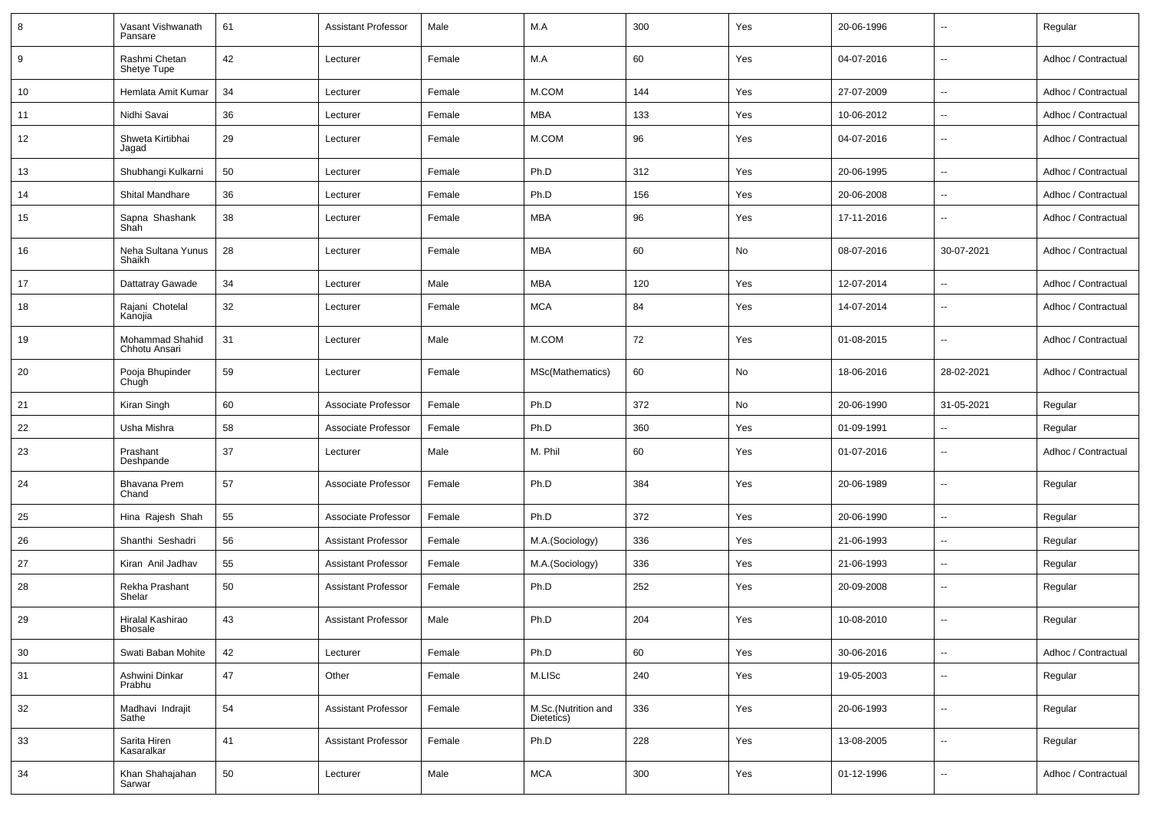| 8  | Vasant Vishwanath<br>Pansare       | 61 | Assistant Professor        | Male   | M.A                               | 300 | Yes | 20-06-1996 | $\overline{\phantom{a}}$ | Regular             |
|----|------------------------------------|----|----------------------------|--------|-----------------------------------|-----|-----|------------|--------------------------|---------------------|
| 9  | Rashmi Chetan<br>Shetye Tupe       | 42 | Lecturer                   | Female | M.A                               | 60  | Yes | 04-07-2016 | $\sim$                   | Adhoc / Contractual |
| 10 | Hemlata Amit Kumar                 | 34 | Lecturer                   | Female | M.COM                             | 144 | Yes | 27-07-2009 | $\sim$                   | Adhoc / Contractual |
| 11 | Nidhi Savai                        | 36 | Lecturer                   | Female | <b>MBA</b>                        | 133 | Yes | 10-06-2012 | $\overline{\phantom{a}}$ | Adhoc / Contractual |
| 12 | Shweta Kirtibhai<br>Jagad          | 29 | Lecturer                   | Female | M.COM                             | 96  | Yes | 04-07-2016 | $\sim$                   | Adhoc / Contractual |
| 13 | Shubhangi Kulkarni                 | 50 | Lecturer                   | Female | Ph.D                              | 312 | Yes | 20-06-1995 | $\sim$                   | Adhoc / Contractual |
| 14 | Shital Mandhare                    | 36 | Lecturer                   | Female | Ph.D                              | 156 | Yes | 20-06-2008 | $\overline{\phantom{a}}$ | Adhoc / Contractual |
| 15 | Sapna Shashank<br>Shah             | 38 | Lecturer                   | Female | <b>MBA</b>                        | 96  | Yes | 17-11-2016 | $\overline{\phantom{a}}$ | Adhoc / Contractual |
| 16 | Neha Sultana Yunus<br>Shaikh       | 28 | Lecturer                   | Female | <b>MBA</b>                        | 60  | No  | 08-07-2016 | 30-07-2021               | Adhoc / Contractual |
| 17 | Dattatray Gawade                   | 34 | Lecturer                   | Male   | <b>MBA</b>                        | 120 | Yes | 12-07-2014 | $\overline{\phantom{a}}$ | Adhoc / Contractual |
| 18 | Rajani Chotelal<br>Kanojia         | 32 | Lecturer                   | Female | <b>MCA</b>                        | 84  | Yes | 14-07-2014 | $\sim$                   | Adhoc / Contractual |
| 19 | Mohammad Shahid<br>Chhotu Ansari   | 31 | Lecturer                   | Male   | M.COM                             | 72  | Yes | 01-08-2015 | $\sim$                   | Adhoc / Contractual |
| 20 | Pooja Bhupinder<br>Chugh           | 59 | Lecturer                   | Female | MSc(Mathematics)                  | 60  | No  | 18-06-2016 | 28-02-2021               | Adhoc / Contractual |
| 21 | Kiran Singh                        | 60 | Associate Professor        | Female | Ph.D                              | 372 | No  | 20-06-1990 | 31-05-2021               | Regular             |
| 22 | Usha Mishra                        | 58 | Associate Professor        | Female | Ph.D                              | 360 | Yes | 01-09-1991 | $\overline{\phantom{a}}$ | Regular             |
| 23 | Prashant<br>Deshpande              | 37 | Lecturer                   | Male   | M. Phil                           | 60  | Yes | 01-07-2016 | $\overline{\phantom{a}}$ | Adhoc / Contractual |
| 24 | <b>Bhavana Prem</b><br>Chand       | 57 | Associate Professor        | Female | Ph.D                              | 384 | Yes | 20-06-1989 | $\overline{\phantom{a}}$ | Regular             |
| 25 | Hina Rajesh Shah                   | 55 | Associate Professor        | Female | Ph.D                              | 372 | Yes | 20-06-1990 | $\overline{\phantom{a}}$ | Regular             |
| 26 | Shanthi Seshadri                   | 56 | Assistant Professor        | Female | M.A.(Sociology)                   | 336 | Yes | 21-06-1993 | $\overline{a}$           | Regular             |
| 27 | Kiran Anil Jadhav                  | 55 | <b>Assistant Professor</b> | Female | M.A.(Sociology)                   | 336 | Yes | 21-06-1993 | $\overline{\phantom{a}}$ | Regular             |
| 28 | Rekha Prashant<br>Shelar           | 50 | <b>Assistant Professor</b> | Female | Ph.D                              | 252 | Yes | 20-09-2008 | $\overline{\phantom{a}}$ | Regular             |
| 29 | Hiralal Kashirao<br><b>Bhosale</b> | 43 | <b>Assistant Professor</b> | Male   | Ph.D                              | 204 | Yes | 10-08-2010 |                          | Regular             |
| 30 | Swati Baban Mohite                 | 42 | Lecturer                   | Female | Ph.D                              | 60  | Yes | 30-06-2016 | $\overline{\phantom{a}}$ | Adhoc / Contractual |
| 31 | Ashwini Dinkar<br>Prabhu           | 47 | Other                      | Female | M.LISc                            | 240 | Yes | 19-05-2003 | $\sim$                   | Regular             |
| 32 | Madhavi Indrajit<br>Sathe          | 54 | <b>Assistant Professor</b> | Female | M.Sc.(Nutrition and<br>Dietetics) | 336 | Yes | 20-06-1993 | $\overline{\phantom{a}}$ | Regular             |
| 33 | Sarita Hiren<br>Kasaralkar         | 41 | <b>Assistant Professor</b> | Female | Ph.D                              | 228 | Yes | 13-08-2005 | $\overline{\phantom{a}}$ | Regular             |
| 34 | Khan Shahajahan<br>Sarwar          | 50 | Lecturer                   | Male   | <b>MCA</b>                        | 300 | Yes | 01-12-1996 | $\sim$                   | Adhoc / Contractual |